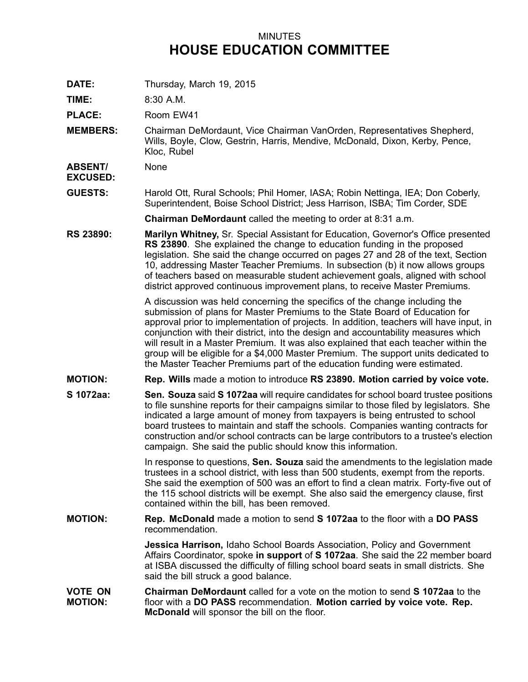## MINUTES **HOUSE EDUCATION COMMITTEE**

**DATE:** Thursday, March 19, 2015

**TIME:** 8:30 A.M.

PLACE: Room EW41

**MEMBERS:** Chairman DeMordaunt, Vice Chairman VanOrden, Representatives Shepherd, Wills, Boyle, Clow, Gestrin, Harris, Mendive, McDonald, Dixon, Kerby, Pence, Kloc, Rubel

**ABSENT/** None

**EXCUSED:**

**GUESTS:** Harold Ott, Rural Schools; Phil Homer, IASA; Robin Nettinga, IEA; Don Coberly, Superintendent, Boise School District; Jess Harrison, ISBA; Tim Corder, SDE

**Chairman DeMordaunt** called the meeting to order at 8:31 a.m.

**RS 23890: Marilyn Whitney,** Sr. Special Assistant for Education, Governor's Office presented **RS 23890**. She explained the change to education funding in the proposed legislation. She said the change occurred on pages 27 and 28 of the text, Section 10, addressing Master Teacher Premiums. In subsection (b) it now allows groups of teachers based on measurable student achievement goals, aligned with school district approved continuous improvement plans, to receive Master Premiums.

> A discussion was held concerning the specifics of the change including the submission of plans for Master Premiums to the State Board of Education for approval prior to implementation of projects. In addition, teachers will have input, in conjunction with their district, into the design and accountability measures which will result in <sup>a</sup> Master Premium. It was also explained that each teacher within the group will be eligible for <sup>a</sup> \$4,000 Master Premium. The support units dedicated to the Master Teacher Premiums part of the education funding were estimated.

- **MOTION: Rep. Wills** made <sup>a</sup> motion to introduce **RS 23890. Motion carried by voice vote.**
- **S 1072aa: Sen. Souza** said **S 1072aa** will require candidates for school board trustee positions to file sunshine reports for their campaigns similar to those filed by legislators. She indicated <sup>a</sup> large amount of money from taxpayers is being entrusted to school board trustees to maintain and staff the schools. Companies wanting contracts for construction and/or school contracts can be large contributors to <sup>a</sup> trustee's election campaign. She said the public should know this information.

In response to questions, **Sen. Souza** said the amendments to the legislation made trustees in <sup>a</sup> school district, with less than 500 students, exempt from the reports. She said the exemption of 500 was an effort to find <sup>a</sup> clean matrix. Forty-five out of the 115 school districts will be exempt. She also said the emergency clause, first contained within the bill, has been removed.

**MOTION: Rep. McDonald** made <sup>a</sup> motion to send **S 1072aa** to the floor with <sup>a</sup> **DO PASS** recommendation.

> **Jessica Harrison,** Idaho School Boards Association, Policy and Government Affairs Coordinator, spoke **in support** of **S 1072aa**. She said the 22 member board at ISBA discussed the difficulty of filling school board seats in small districts. She said the bill struck <sup>a</sup> good balance.

**VOTE ON MOTION: Chairman DeMordaunt** called for a vote on the motion to send **S 1072aa** to the floor with <sup>a</sup> **DO PASS** recommendation. **Motion carried by voice vote. Rep. McDonald** will sponsor the bill on the floor.